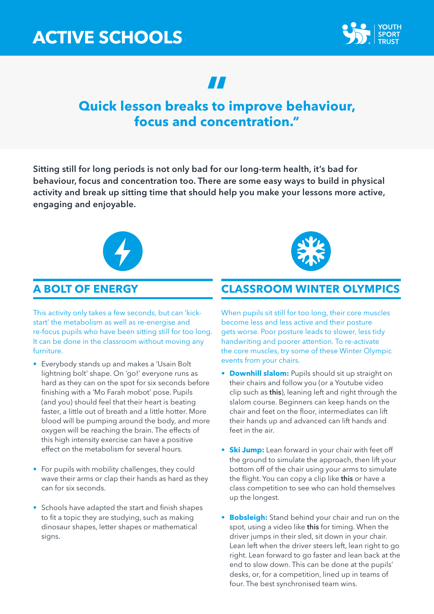

# **Quick lesson breaks to improve behaviour, " focus and concentration."**

Sitting still for long periods is not only bad for our long-term health, it's bad for behaviour, focus and concentration too. There are some easy ways to build in physical activity and break up sitting time that should help you make your lessons more active, engaging and enjoyable.



# **A BOLT OF ENERGY**

This activity only takes a few seconds, but can 'kickstart' the metabolism as well as re-energise and re-focus pupils who have been sitting still for too long. It can be done in the classroom without moving any furniture.

- Everybody stands up and makes a 'Usain Bolt lightning bolt' shape. On 'go!' everyone runs as hard as they can on the spot for six seconds before finishing with a 'Mo Farah mobot' pose. Pupils (and you) should feel that their heart is beating faster, a little out of breath and a little hotter. More blood will be pumping around the body, and more oxygen will be reaching the brain. The effects of this high intensity exercise can have a positive effect on the metabolism for several hours.
- For pupils with mobility challenges, they could wave their arms or clap their hands as hard as they can for six seconds.
- Schools have adapted the start and finish shapes to fit a topic they are studying, such as making dinosaur shapes, letter shapes or mathematical signs.

# **CLASSROOM WINTER OLYMPICS**

When pupils sit still for too long, their core muscles become less and less active and their posture gets worse. Poor posture leads to slower, less tidy handwriting and poorer attention. To re-activate the core muscles, try some of these Winter Olympic events from your chairs.

- **Downhill slalom:** Pupils should sit up straight on their chairs and follow you (or a Youtube video clip such as [this](https://www.youtube.com/watch?v=F23sHW3zlRk)), leaning left and right through the slalom course. Beginners can keep hands on the chair and feet on the floor, intermediates can lift their hands up and advanced can lift hands and feet in the air.
- **Ski Jump:** Lean forward in your chair with feet off the ground to simulate the approach, then lift your bottom off of the chair using your arms to simulate the flight. You can copy a clip like [this](https://www.youtube.com/watch?v=undVQi_AgnE) or have a class competition to see who can hold themselves up the longest.
- **Bobsleigh:** Stand behind your chair and run on the spot, using a video like [this](https://www.youtube.com/watch?v=bnJArS1QDkk) for timing. When the driver jumps in their sled, sit down in your chair. Lean left when the driver steers left, lean right to go right. Lean forward to go faster and lean back at the end to slow down. This can be done at the pupils' desks, or, for a competition, lined up in teams of four. The best synchronised team wins.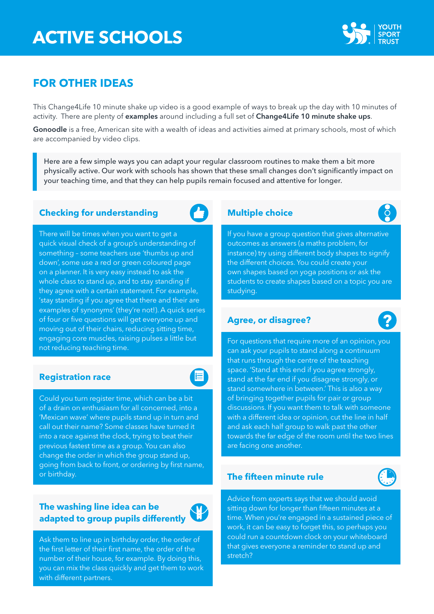

# **FOR OTHER IDEAS**

This Change4Life 10 minute shake up video is a good example of ways to break up the day with 10 minutes of activity. There are plenty of [examples](https://vimeo.com/132353068) around including a full set of [Change4Life 10 minute shake ups](https://www.nhs.uk/10-minute-shake-up/shake-ups#VrV8F29sdrtAJyJD.97).

[Gonoodle](https://www.gonoodle.com/) is a free, American site with a wealth of ideas and activities aimed at primary schools, most of which are accompanied by video clips.

Here are a few simple ways you can adapt your regular classroom routines to make them a bit more physically active. Our work with schools has shown that these small changes don't significantly impact on your teaching time, and that they can help pupils remain focused and attentive for longer.

### **Checking for understanding Checking for understanding Multiple choice**

There will be times when you want to get a quick visual check of a group's understanding of something – some teachers use 'thumbs up and down', some use a red or green coloured page on a planner. It is very easy instead to ask the whole class to stand up, and to stay standing if they agree with a certain statement. For example, 'stay standing if you agree that there and their are examples of synonyms' (they're not!). A quick series of four or five questions will get everyone up and moving out of their chairs, reducing sitting time, engaging core muscles, raising pulses a little but not reducing teaching time.

#### **Registration race**

E

Could you turn register time, which can be a bit of a drain on enthusiasm for all concerned, into a 'Mexican wave' where pupils stand up in turn and call out their name? Some classes have turned it into a race against the clock, trying to beat their previous fastest time as a group. You can also change the order in which the group stand up, going from back to front, or ordering by first name, or birthday.

# **The washing line idea can be**  adapted to group pupils differently



 $\int_{0}^{1}$ 

If you have a group question that gives alternative outcomes as answers (a maths problem, for instance) try using different body shapes to signify the different choices. You could create your own shapes based on yoga positions or ask the students to create shapes based on a topic you are studying.

### **Agree, or disagree?**

For questions that require more of an opinion, you can ask your pupils to stand along a continuum that runs through the centre of the teaching space. 'Stand at this end if you agree strongly, stand at the far end if you disagree strongly, or stand somewhere in between.' This is also a way of bringing together pupils for pair or group discussions. If you want them to talk with someone with a different idea or opinion, cut the line in half and ask each half group to walk past the other towards the far edge of the room until the two lines are facing one another.

### **The fifteen minute rule**



Advice from experts says that we should avoid sitting down for longer than fifteen minutes at a time. When you're engaged in a sustained piece of work, it can be easy to forget this, so perhaps you could run a countdown clock on your whiteboard that gives everyone a reminder to stand up and stretch?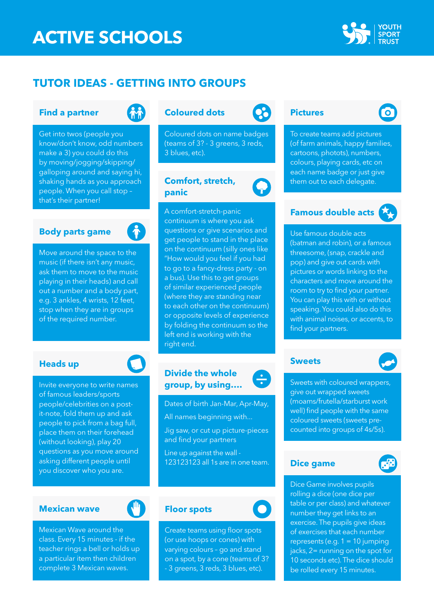

# **TUTOR IDEAS - GETTING INTO GROUPS**

#### **Find a partner**



Get into twos (people you know/don't know, odd numbers make a 3) you could do this by moving/jogging/skipping/ galloping around and saying hi, shaking hands as you approach people. When you call stop – that's their partner!

#### **Body parts game**



Move around the space to the music (if there isn't any music, ask them to move to the music playing in their heads) and call out a number and a body part, e.g. 3 ankles, 4 wrists, 12 feet, stop when they are in groups of the required number.

#### **Heads up**

Invite everyone to write names of famous leaders/sports people/celebrities on a postit-note, fold them up and ask people to pick from a bag full, place them on their forehead (without looking), play 20 questions as you move around asking different people until you discover who you are.

#### **Mexican wave**



Mexican Wave around the class. Every 15 minutes - if the teacher rings a bell or holds up a particular item then children complete 3 Mexican waves.

## **Coloured dots Pictures**

Coloured dots on name badges (teams of 3? - 3 greens, 3 reds, 3 blues, etc).

### **Comfort, stretch, panic**



### **Divide the whole group, by using….**

Dates of birth Jan-Mar, Apr-May, All names beginning with... Jig saw, or cut up picture-pieces and find your partners

Line up against the wall - 123123123 all 1s are in one team.

#### **Floor spots**

Create teams using floor spots (or use hoops or cones) with varying colours – go and stand on a spot, by a cone (teams of 3? - 3 greens, 3 reds, 3 blues, etc).



To create teams add pictures (of farm animals, happy families, cartoons, photots), numbers, colours, playing cards, etc on each name badge or just give them out to each delegate.

### **Famous double acts**

Use famous double acts (batman and robin), or a famous threesome, (snap, crackle and pop) and give out cards with pictures or words linking to the characters and move around the room to try to find your partner. You can play this with or without speaking. You could also do this with animal noises, or accents, to find your partners.

#### **Sweets**

 $\div$ 

Sweets with coloured wrappers, give out wrapped sweets (moams/frutella/starburst work well) find people with the same coloured sweets (sweets precounted into groups of 4s/5s).

#### **Dice game**



Dice Game involves pupils rolling a dice (one dice per table or per class) and whatever number they get links to an exercise. The pupils give ideas of exercises that each number represents (e.g. 1 = 10 jumping jacks, 2= running on the spot for 10 seconds etc). The dice should be rolled every 15 minutes.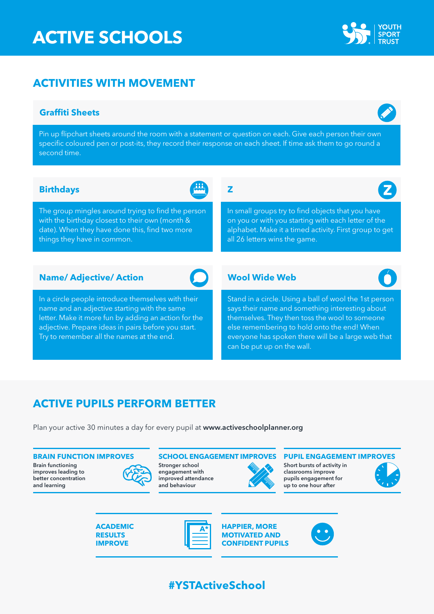# **ACTIVITIES WITH MOVEMENT**

### **Graffiti Sheets**

Pin up flipchart sheets around the room with a statement or question on each. Give each person their own specific coloured pen or post-its, they record their response on each sheet. If time ask them to go round a second time.

### **Birthdays Z**

The group mingles around trying to find the person with the birthday closest to their own (month & date). When they have done this, find two more things they have in common.

## **Name/ Adjective/ Action**

In a circle people introduce themselves with their name and an adjective starting with the same letter. Make it more fun by adding an action for the adjective. Prepare ideas in pairs before you start. Try to remember all the names at the end.

#### **Wool Wide Web**

all 26 letters wins the game.

Stand in a circle. Using a ball of wool the 1st person says their name and something interesting about themselves. They then toss the wool to someone else remembering to hold onto the end! When everyone has spoken there will be a large web that can be put up on the wall.

In small groups try to find objects that you have on you or with you starting with each letter of the alphabet. Make it a timed activity. First group to get

# **ACTIVE PUPILS PERFORM BETTER**

Plan your active 30 minutes a day for every pupil at <www.activeschoolplanner.org>

Brain functioning improves leading to better concentration and learning



Stronger school engagement with improved attendance and behaviour



#### **BRAIN FUNCTION IMPROVES SCHOOL ENGAGEMENT IMPROVES PUPIL ENGAGEMENT IMPROVES**

Short bursts of activity in classrooms improve pupils engagement for up to one hour after













**#YSTActiveSchool**